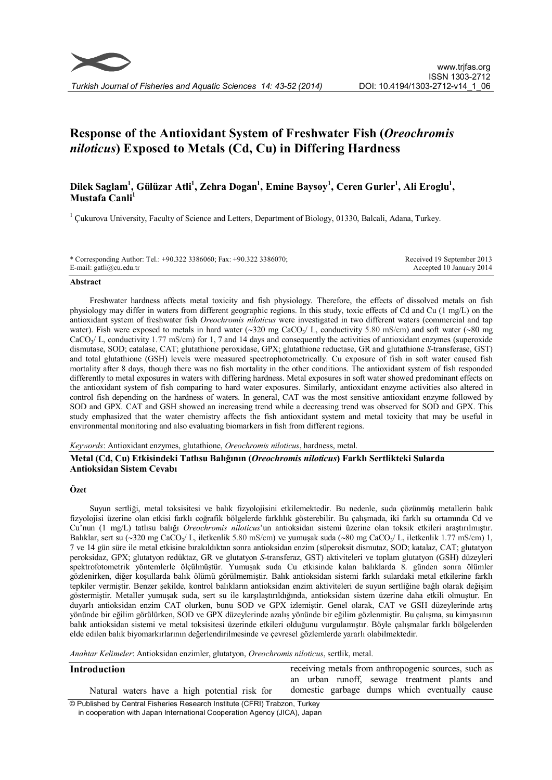

# Response of the Antioxidant System of Freshwater Fish (Oreochromis niloticus) Exposed to Metals (Cd, Cu) in Differing Hardness

## Dilek Saglam<sup>1</sup>, Gülüzar Atli<sup>1</sup>, Zehra Dogan<sup>1</sup>, Emine Baysoy<sup>1</sup>, Ceren Gurler<sup>1</sup>, Ali Eroglu<sup>1</sup>, Mustafa Canli<sup>1</sup>

<sup>1</sup> Çukurova University, Faculty of Science and Letters, Department of Biology, 01330, Balcali, Adana, Turkey.

\* Corresponding Author: Tel.: +90.322 3386060; Fax: +90.322 3386070; E-mail: gatli@cu.edu.tr

Received 19 September 2013 Accepted 10 January 2014

#### Abstract

Freshwater hardness affects metal toxicity and fish physiology. Therefore, the effects of dissolved metals on fish physiology may differ in waters from different geographic regions. In this study, toxic effects of Cd and Cu (1 mg/L) on the antioxidant system of freshwater fish Oreochromis niloticus were investigated in two different waters (commercial and tap water). Fish were exposed to metals in hard water  $(\sim 320 \text{ mg } \text{CaCO}_{3}/ \text{ L})$ , conductivity 5.80 mS/cm) and soft water  $(\sim 80 \text{ mg } \text{ C}_{3}/ \text{ L})$  $CaCO<sub>3</sub>/ L$ , conductivity 1.77 mS/cm) for 1, 7 and 14 days and consequently the activities of antioxidant enzymes (superoxide dismutase, SOD; catalase, CAT; glutathione peroxidase, GPX; glutathione reductase, GR and glutathione S-transferase, GST) and total glutathione (GSH) levels were measured spectrophotometrically. Cu exposure of fish in soft water caused fish mortality after 8 days, though there was no fish mortality in the other conditions. The antioxidant system of fish responded differently to metal exposures in waters with differing hardness. Metal exposures in soft water showed predominant effects on the antioxidant system of fish comparing to hard water exposures. Similarly, antioxidant enzyme activities also altered in control fish depending on the hardness of waters. In general, CAT was the most sensitive antioxidant enzyme followed by SOD and GPX. CAT and GSH showed an increasing trend while a decreasing trend was observed for SOD and GPX. This study emphasized that the water chemistry affects the fish antioxidant system and metal toxicity that may be useful in environmental monitoring and also evaluating biomarkers in fish from different regions.

Keywords: Antioxidant enzymes, glutathione, Oreochromis niloticus, hardness, metal.

## Metal (Cd, Cu) Etkisindeki Tatlısu Balığının (Oreochromis niloticus) Farklı Sertlikteki Sularda Antioksidan Sistem Cevabı

### Özet

Suyun sertliği, metal toksisitesi ve balık fizyolojisini etkilemektedir. Bu nedenle, suda çözünmüş metallerin balık fizyolojisi üzerine olan etkisi farklı coğrafik bölgelerde farklılık gösterebilir. Bu çalışmada, iki farklı su ortamında Cd ve Cu'nun (1 mg/L) tatlısu balığı Oreochromis niloticus'un antioksidan sistemi üzerine olan toksik etkileri araştırılmıştır. Balıklar, sert su (~320 mg CaCO<sub>3</sub>/ L, iletkenlik 5.80 mS/cm) ve yumuşak suda (~80 mg CaCO<sub>3</sub>/ L, iletkenlik 1.77 mS/cm) 1, 7 ve 14 gün süre ile metal etkisine bırakıldıktan sonra antioksidan enzim (süperoksit dismutaz, SOD; katalaz, CAT; glutatyon peroksidaz, GPX; glutatyon redüktaz, GR ve glutatyon S-transferaz, GST) aktiviteleri ve toplam glutatyon (GSH) düzeyleri spektrofotometrik yöntemlerle ölçülmüştür. Yumuşak suda Cu etkisinde kalan balıklarda 8. günden sonra ölümler gözlenirken, diğer koşullarda balık ölümü görülmemiştir. Balık antioksidan sistemi farklı sulardaki metal etkilerine farklı tepkiler vermiştir. Benzer şekilde, kontrol balıkların antioksidan enzim aktiviteleri de suyun sertliğine bağlı olarak değişim göstermiştir. Metaller yumuşak suda, sert su ile karşılaştırıldığında, antioksidan sistem üzerine daha etkili olmuştur. En duyarlı antioksidan enzim CAT olurken, bunu SOD ve GPX izlemiştir. Genel olarak, CAT ve GSH düzeylerinde artış yönünde bir eğilim görülürken, SOD ve GPX düzeylerinde azalış yönünde bir eğilim gözlenmiştir. Bu çalışma, su kimyasının balık antioksidan sistemi ve metal toksisitesi üzerinde etkileri olduğunu vurgulamıştır. Böyle çalışmalar farklı bölgelerden elde edilen balık biyomarkırlarının değerlendirilmesinde ve çevresel gözlemlerde yararlı olabilmektedir.

Anahtar Kelimeler: Antioksidan enzimler, glutatyon, Oreochromis niloticus, sertlik, metal.

| <b>Introduction</b>                                                        | receiving metals from anthropogenic sources, such as |  |  |  |  |  |
|----------------------------------------------------------------------------|------------------------------------------------------|--|--|--|--|--|
|                                                                            | an urban runoff, sewage treatment plants and         |  |  |  |  |  |
| Natural waters have a high potential risk for                              | domestic garbage dumps which eventually cause        |  |  |  |  |  |
| © Published by Central Fisheries Research Institute (CFRI) Trabzon, Turkey |                                                      |  |  |  |  |  |
| in cooperation with Japan International Cooperation Agency (JICA), Japan   |                                                      |  |  |  |  |  |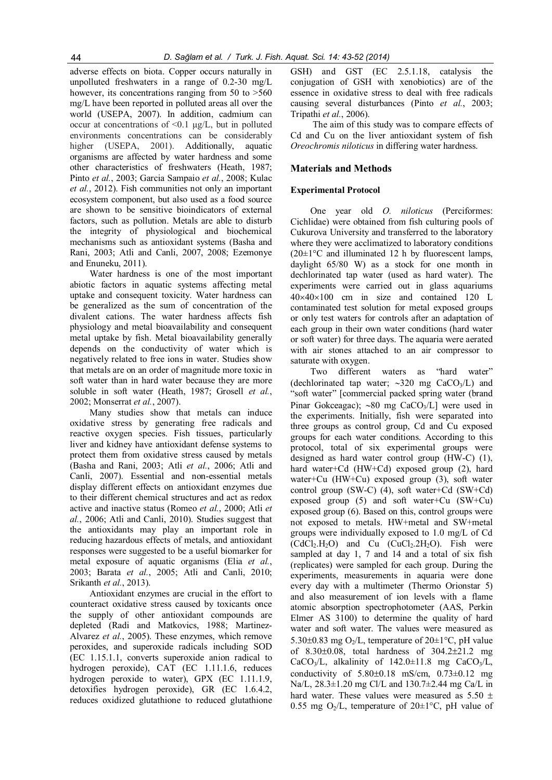adverse effects on biota. Copper occurs naturally in unpolluted freshwaters in a range of 0.2-30 mg/L however, its concentrations ranging from 50 to  $>560$ mg/L have been reported in polluted areas all over the world (USEPA, 2007). In addition, cadmium can occur at concentrations of  $\leq 0.1$  µg/L, but in polluted environments concentrations can be considerably higher (USEPA, 2001). Additionally, aquatic organisms are affected by water hardness and some other characteristics of freshwaters (Heath, 1987; Pinto et al., 2003; Garcia Sampaio et al., 2008; Kulac et al., 2012). Fish communities not only an important ecosystem component, but also used as a food source are shown to be sensitive bioindicators of external factors, such as pollution. Metals are able to disturb the integrity of physiological and biochemical mechanisms such as antioxidant systems (Basha and Rani, 2003; Atli and Canli, 2007, 2008; Ezemonye and Enuneku, 2011).

Water hardness is one of the most important abiotic factors in aquatic systems affecting metal uptake and consequent toxicity. Water hardness can be generalized as the sum of concentration of the divalent cations. The water hardness affects fish physiology and metal bioavailability and consequent metal uptake by fish. Metal bioavailability generally depends on the conductivity of water which is negatively related to free ions in water. Studies show that metals are on an order of magnitude more toxic in soft water than in hard water because they are more soluble in soft water (Heath, 1987; Grosell et al., 2002; Monserrat et al., 2007).

Many studies show that metals can induce oxidative stress by generating free radicals and reactive oxygen species. Fish tissues, particularly liver and kidney have antioxidant defense systems to protect them from oxidative stress caused by metals (Basha and Rani, 2003; Atli et al., 2006; Atli and Canli, 2007). Essential and non-essential metals display different effects on antioxidant enzymes due to their different chemical structures and act as redox active and inactive status (Romeo et al., 2000; Atli et al., 2006; Atli and Canli, 2010). Studies suggest that the antioxidants may play an important role in reducing hazardous effects of metals, and antioxidant responses were suggested to be a useful biomarker for metal exposure of aquatic organisms (Elia et al., 2003; Barata et al., 2005; Atli and Canli, 2010; Srikanth et al., 2013).

Antioxidant enzymes are crucial in the effort to counteract oxidative stress caused by toxicants once the supply of other antioxidant compounds are depleted (Radi and Matkovics, 1988; Martinez-Alvarez et al., 2005). These enzymes, which remove peroxides, and superoxide radicals including SOD (EC 1.15.1.1, converts superoxide anion radical to hydrogen peroxide), CAT (EC 1.11.1.6, reduces hydrogen peroxide to water), GPX (EC 1.11.1.9, detoxifies hydrogen peroxide), GR (EC 1.6.4.2, reduces oxidized glutathione to reduced glutathione GSH) and GST (EC 2.5.1.18, catalysis the conjugation of GSH with xenobiotics) are of the essence in oxidative stress to deal with free radicals causing several disturbances (Pinto et al., 2003; Tripathi et al., 2006).

The aim of this study was to compare effects of Cd and Cu on the liver antioxidant system of fish Oreochromis niloticus in differing water hardness.

## Materials and Methods

## Experimental Protocol

One year old O. niloticus (Perciformes: Cichlidae) were obtained from fish culturing pools of Cukurova University and transferred to the laboratory where they were acclimatized to laboratory conditions  $(20\pm1\degree C$  and illuminated 12 h by fluorescent lamps, daylight 65/80 W) as a stock for one month in dechlorinated tap water (used as hard water). The experiments were carried out in glass aquariums  $40\times40\times100$  cm in size and contained 120 L contaminated test solution for metal exposed groups or only test waters for controls after an adaptation of each group in their own water conditions (hard water or soft water) for three days. The aquaria were aerated with air stones attached to an air compressor to saturate with oxygen.

Two different waters as "hard water" (dechlorinated tap water;  $\sim$ 320 mg CaCO<sub>3</sub>/L) and "soft water" [commercial packed spring water (brand Pinar Gokceagac); ~80 mg CaCO<sub>3</sub>/L] were used in the experiments. Initially, fish were separated into three groups as control group, Cd and Cu exposed groups for each water conditions. According to this protocol, total of six experimental groups were designed as hard water control group (HW-C) (1), hard water+Cd (HW+Cd) exposed group (2), hard water+Cu (HW+Cu) exposed group (3), soft water control group (SW-C) (4), soft water+Cd (SW+Cd) exposed group (5) and soft water+Cu (SW+Cu) exposed group (6). Based on this, control groups were not exposed to metals. HW+metal and SW+metal groups were individually exposed to 1.0 mg/L of Cd  $(CdCl<sub>2</sub>.H<sub>2</sub>O)$  and Cu  $(CuCl<sub>2</sub>.2H<sub>2</sub>O)$ . Fish were sampled at day 1, 7 and 14 and a total of six fish (replicates) were sampled for each group. During the experiments, measurements in aquaria were done every day with a multimeter (Thermo Orionstar 5) and also measurement of ion levels with a flame atomic absorption spectrophotometer (AAS, Perkin Elmer AS 3100) to determine the quality of hard water and soft water. The values were measured as 5.30 $\pm$ 0.83 mg O<sub>2</sub>/L, temperature of 20 $\pm$ 1°C, pH value of  $8.30 \pm 0.08$ , total hardness of  $304.2 \pm 21.2$  mg CaCO<sub>3</sub>/L, alkalinity of  $142.0 \pm 11.8$  mg CaCO<sub>3</sub>/L, conductivity of  $5.80\pm0.18$  mS/cm,  $0.73\pm0.12$  mg Na/L, 28.3±1.20 mg Cl/L and 130.7±2.44 mg Ca/L in hard water. These values were measured as  $5.50 \pm$ 0.55 mg O<sub>2</sub>/L, temperature of  $20 \pm 1$ °C, pH value of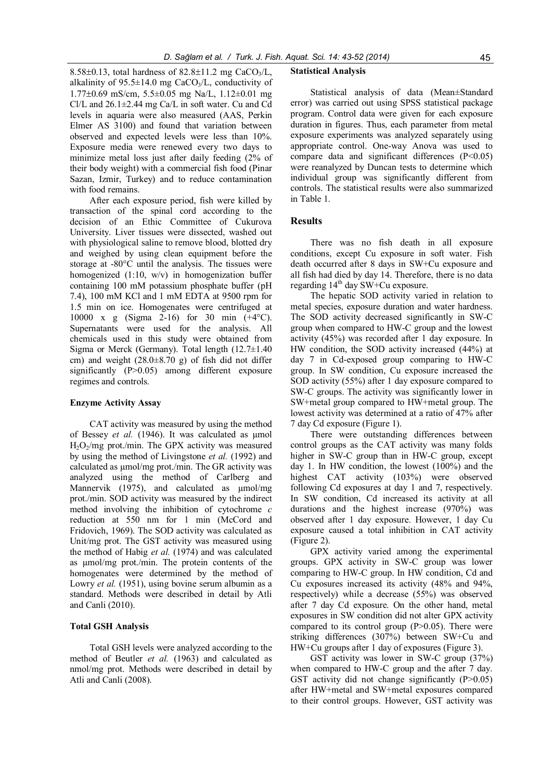8.58 $\pm$ 0.13, total hardness of 82.8 $\pm$ 11.2 mg CaCO<sub>3</sub>/L, alkalinity of  $95.5 \pm 14.0$  mg CaCO<sub>3</sub>/L, conductivity of  $1.77\pm0.69$  mS/cm,  $5.5\pm0.05$  mg Na/L,  $1.12\pm0.01$  mg Cl/L and  $26.1 \pm 2.44$  mg Ca/L in soft water. Cu and Cd levels in aquaria were also measured (AAS, Perkin Elmer AS 3100) and found that variation between observed and expected levels were less than 10%. Exposure media were renewed every two days to minimize metal loss just after daily feeding (2% of their body weight) with a commercial fish food (Pinar Sazan, Izmir, Turkey) and to reduce contamination with food remains.

After each exposure period, fish were killed by transaction of the spinal cord according to the decision of an Ethic Committee of Cukurova University. Liver tissues were dissected, washed out with physiological saline to remove blood, blotted dry and weighed by using clean equipment before the storage at -80°C until the analysis. The tissues were homogenized (1:10, w/v) in homogenization buffer containing 100 mM potassium phosphate buffer (pH 7.4), 100 mM KCl and 1 mM EDTA at 9500 rpm for 1.5 min on ice. Homogenates were centrifuged at 10000 x g (Sigma 2-16) for 30 min (+4°C). Supernatants were used for the analysis. All chemicals used in this study were obtained from Sigma or Merck (Germany). Total length  $(12.7\pm1.40)$ cm) and weight  $(28.0\pm8.70)$  g) of fish did not differ significantly (P>0.05) among different exposure regimes and controls.

#### Enzyme Activity Assay

CAT activity was measured by using the method of Bessey et al. (1946). It was calculated as µmol H2O2/mg prot./min. The GPX activity was measured by using the method of Livingstone et al. (1992) and calculated as µmol/mg prot./min. The GR activity was analyzed using the method of Carlberg and Mannervik (1975), and calculated as  $\mu$ mol/mg prot./min. SOD activity was measured by the indirect method involving the inhibition of cytochrome c reduction at 550 nm for 1 min (McCord and Fridovich, 1969). The SOD activity was calculated as Unit/mg prot. The GST activity was measured using the method of Habig et al. (1974) and was calculated as umol/mg prot./min. The protein contents of the homogenates were determined by the method of Lowry *et al.* (1951), using bovine serum albumin as a standard. Methods were described in detail by Atli and Canli (2010).

#### Total GSH Analysis

Total GSH levels were analyzed according to the method of Beutler et al. (1963) and calculated as nmol/mg prot. Methods were described in detail by Atli and Canli (2008).

#### Statistical Analysis

Statistical analysis of data (Mean±Standard error) was carried out using SPSS statistical package program. Control data were given for each exposure duration in figures. Thus, each parameter from metal exposure experiments was analyzed separately using appropriate control. One-way Anova was used to compare data and significant differences (P<0.05) were reanalyzed by Duncan tests to determine which individual group was significantly different from controls. The statistical results were also summarized in Table 1.

## **Results**

There was no fish death in all exposure conditions, except Cu exposure in soft water. Fish death occurred after 8 days in SW+Cu exposure and all fish had died by day 14. Therefore, there is no data regarding  $14<sup>th</sup>$  day SW+Cu exposure.

The hepatic SOD activity varied in relation to metal species, exposure duration and water hardness. The SOD activity decreased significantly in SW-C group when compared to HW-C group and the lowest activity (45%) was recorded after 1 day exposure. In HW condition, the SOD activity increased (44%) at day 7 in Cd-exposed group comparing to HW-C group. In SW condition, Cu exposure increased the SOD activity (55%) after 1 day exposure compared to SW-C groups. The activity was significantly lower in SW+metal group compared to HW+metal group. The lowest activity was determined at a ratio of 47% after 7 day Cd exposure (Figure 1).

There were outstanding differences between control groups as the CAT activity was many folds higher in SW-C group than in HW-C group, except day 1. In HW condition, the lowest (100%) and the highest CAT activity (103%) were observed following Cd exposures at day 1 and 7, respectively. In SW condition, Cd increased its activity at all durations and the highest increase (970%) was observed after 1 day exposure. However, 1 day Cu exposure caused a total inhibition in CAT activity (Figure 2).

GPX activity varied among the experimental groups. GPX activity in SW-C group was lower comparing to HW-C group. In HW condition, Cd and Cu exposures increased its activity (48% and 94%, respectively) while a decrease (55%) was observed after 7 day Cd exposure. On the other hand, metal exposures in SW condition did not alter GPX activity compared to its control group  $(P>0.05)$ . There were striking differences (307%) between SW+Cu and HW+Cu groups after 1 day of exposures (Figure 3).

GST activity was lower in SW-C group (37%) when compared to HW-C group and the after 7 day. GST activity did not change significantly  $(P>0.05)$ after HW+metal and SW+metal exposures compared to their control groups. However, GST activity was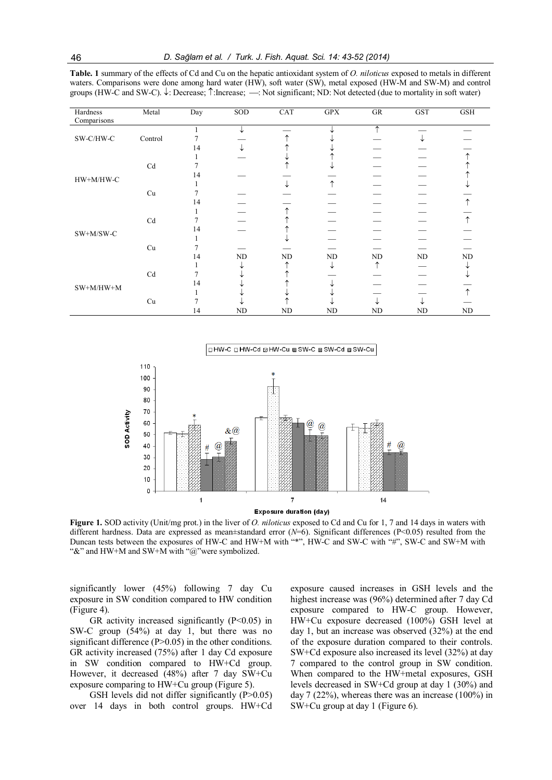Table. 1 summary of the effects of Cd and Cu on the hepatic antioxidant system of O. niloticus exposed to metals in different waters. Comparisons were done among hard water (HW), soft water (SW), metal exposed (HW-M and SW-M) and control groups (HW-C and SW-C).  $\downarrow$ : Decrease;  $\uparrow$ : Increase;  $\rightarrow$ : Not significant; ND: Not detected (due to mortality in soft water)

| Hardness                                                                     | Metal   | Day | SOD | CAT | GPX | GR | <b>GST</b> | GSH |
|------------------------------------------------------------------------------|---------|-----|-----|-----|-----|----|------------|-----|
| Comparisons                                                                  |         |     |     |     |     |    |            |     |
| $\ensuremath{\mathsf{SW\text{-}C}/\ensuremath{\mathsf{HW\text{-}C}}}\xspace$ |         |     |     |     |     | ᠰ  |            |     |
|                                                                              | Control |     |     |     |     |    |            |     |
|                                                                              |         | 14  |     |     |     |    |            |     |
| $HW+M/HW-C$                                                                  |         |     |     |     |     |    |            |     |
|                                                                              | Cd      |     |     |     |     |    |            |     |
|                                                                              |         | 14  |     |     |     |    |            |     |
|                                                                              |         |     |     |     |     |    |            |     |
|                                                                              | Cu      |     |     |     |     |    |            |     |
|                                                                              |         | 14  |     |     |     |    |            |     |
| SW+M/SW-C                                                                    |         |     |     |     |     |    |            |     |
|                                                                              | Cd      |     |     |     |     |    |            |     |
|                                                                              |         | 14  |     |     |     |    |            |     |
|                                                                              |         |     |     |     |     |    |            |     |
|                                                                              | Cu      |     |     |     |     |    |            |     |
|                                                                              |         | 14  | ND  | ND  | ND  | ND | ND         | ND  |
| $\rm SW+M/HW+M$                                                              |         |     |     |     |     |    |            |     |
|                                                                              | Cd      |     |     |     |     |    |            |     |
|                                                                              |         | 14  |     |     |     |    |            |     |
|                                                                              |         |     |     |     |     |    |            |     |
|                                                                              | Cu      |     |     |     |     |    |            |     |
|                                                                              |         | 14  | ND  | ND  | ND  | ND | ND         | ND  |



Figure 1. SOD activity (Unit/mg prot.) in the liver of *O. niloticus* exposed to Cd and Cu for 1, 7 and 14 days in waters with different hardness. Data are expressed as mean±standard error  $(N=6)$ . Significant differences (P<0.05) resulted from the Duncan tests between the exposures of HW-C and HW+M with "\*", HW-C and SW-C with "#", SW-C and SW+M with "&" and HW+M and SW+M with "@"were symbolized.

significantly lower (45%) following 7 day Cu exposure in SW condition compared to HW condition (Figure 4).

GR activity increased significantly  $(P<0.05)$  in SW-C group (54%) at day 1, but there was no significant difference  $(P>0.05)$  in the other conditions. GR activity increased (75%) after 1 day Cd exposure in SW condition compared to HW+Cd group. However, it decreased (48%) after 7 day SW+Cu exposure comparing to HW+Cu group (Figure 5).

GSH levels did not differ significantly (P>0.05) over 14 days in both control groups. HW+Cd exposure caused increases in GSH levels and the highest increase was (96%) determined after 7 day Cd exposure compared to HW-C group. However, HW+Cu exposure decreased (100%) GSH level at day 1, but an increase was observed (32%) at the end of the exposure duration compared to their controls. SW+Cd exposure also increased its level (32%) at day 7 compared to the control group in SW condition. When compared to the HW+metal exposures, GSH levels decreased in SW+Cd group at day 1 (30%) and day 7 (22%), whereas there was an increase (100%) in SW+Cu group at day 1 (Figure 6).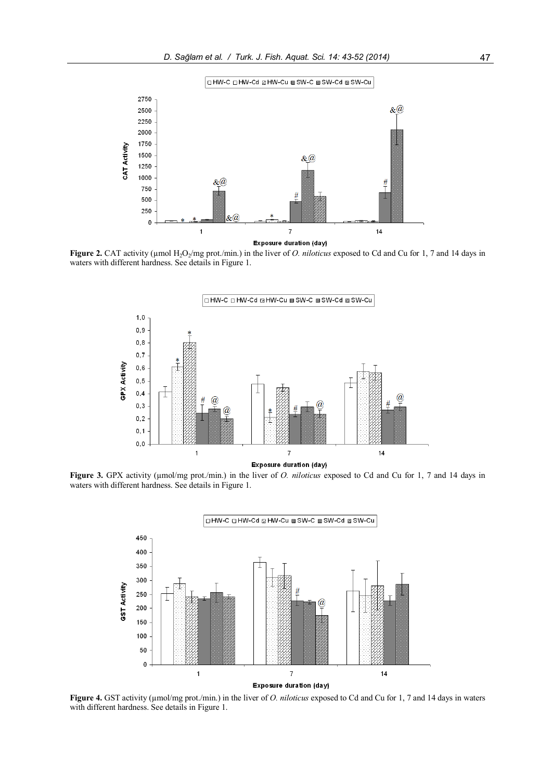



Figure 2. CAT activity ( $\mu$ mol H<sub>2</sub>O<sub>2</sub>/mg prot./min.) in the liver of *O. niloticus* exposed to Cd and Cu for 1, 7 and 14 days in waters with different hardness. See details in Figure 1.



Figure 3. GPX activity (µmol/mg prot./min.) in the liver of *O. niloticus* exposed to Cd and Cu for 1, 7 and 14 days in waters with different hardness. See details in Figure 1.



Figure 4. GST activity (µmol/mg prot./min.) in the liver of *O. niloticus* exposed to Cd and Cu for 1, 7 and 14 days in waters with different hardness. See details in Figure 1.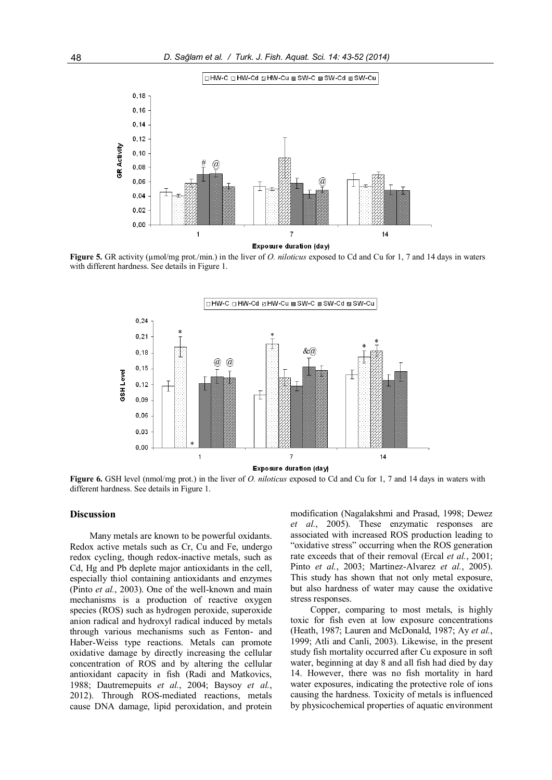



Figure 5. GR activity ( $\mu$ mol/mg prot./min.) in the liver of *O. niloticus* exposed to Cd and Cu for 1, 7 and 14 days in waters with different hardness. See details in Figure 1.



Figure 6. GSH level (nmol/mg prot.) in the liver of *O. niloticus* exposed to Cd and Cu for 1, 7 and 14 days in waters with different hardness. See details in Figure 1.

#### **Discussion**

Many metals are known to be powerful oxidants. Redox active metals such as Cr, Cu and Fe, undergo redox cycling, though redox-inactive metals, such as Cd, Hg and Pb deplete major antioxidants in the cell, especially thiol containing antioxidants and enzymes (Pinto et al., 2003). One of the well-known and main mechanisms is a production of reactive oxygen species (ROS) such as hydrogen peroxide, superoxide anion radical and hydroxyl radical induced by metals through various mechanisms such as Fenton- and Haber-Weiss type reactions. Metals can promote oxidative damage by directly increasing the cellular concentration of ROS and by altering the cellular antioxidant capacity in fish (Radi and Matkovics, 1988; Dautremepuits et al., 2004; Baysoy et al., 2012). Through ROS-mediated reactions, metals cause DNA damage, lipid peroxidation, and protein

modification (Nagalakshmi and Prasad, 1998; Dewez et al., 2005). These enzymatic responses are associated with increased ROS production leading to "oxidative stress" occurring when the ROS generation rate exceeds that of their removal (Ercal et al., 2001; Pinto et al., 2003; Martinez-Alvarez et al., 2005). This study has shown that not only metal exposure, but also hardness of water may cause the oxidative stress responses.

Copper, comparing to most metals, is highly toxic for fish even at low exposure concentrations (Heath, 1987; Lauren and McDonald, 1987; Ay et al., 1999; Atli and Canli, 2003). Likewise, in the present study fish mortality occurred after Cu exposure in soft water, beginning at day 8 and all fish had died by day 14. However, there was no fish mortality in hard water exposures, indicating the protective role of ions causing the hardness. Toxicity of metals is influenced by physicochemical properties of aquatic environment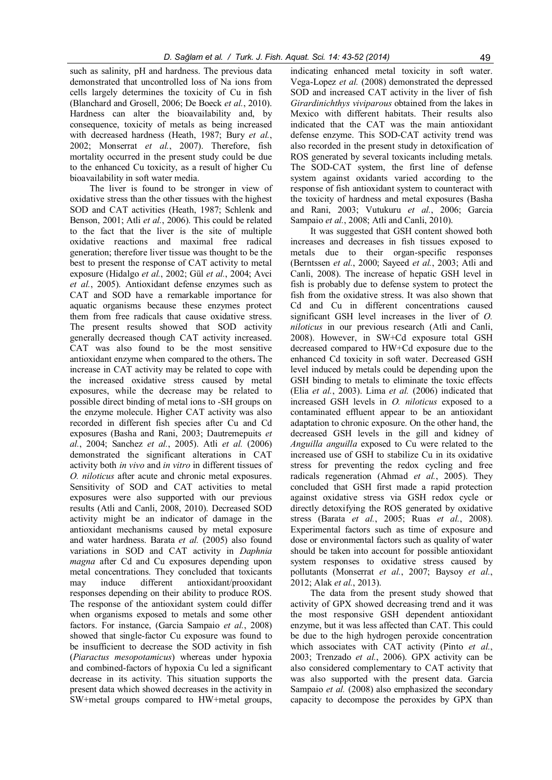such as salinity, pH and hardness. The previous data demonstrated that uncontrolled loss of Na ions from cells largely determines the toxicity of Cu in fish (Blanchard and Grosell, 2006; De Boeck et al., 2010). Hardness can alter the bioavailability and, by consequence, toxicity of metals as being increased with decreased hardness (Heath, 1987; Bury et al., 2002; Monserrat et al., 2007). Therefore, fish mortality occurred in the present study could be due to the enhanced Cu toxicity, as a result of higher Cu bioavailability in soft water media.

The liver is found to be stronger in view of oxidative stress than the other tissues with the highest SOD and CAT activities (Heath, 1987; Schlenk and Benson, 2001; Atli *et al.*, 2006). This could be related to the fact that the liver is the site of multiple oxidative reactions and maximal free radical generation; therefore liver tissue was thought to be the best to present the response of CAT activity to metal exposure (Hidalgo et al., 2002; Gül et al., 2004; Avci et al., 2005). Antioxidant defense enzymes such as CAT and SOD have a remarkable importance for aquatic organisms because these enzymes protect them from free radicals that cause oxidative stress. The present results showed that SOD activity generally decreased though CAT activity increased. CAT was also found to be the most sensitive antioxidant enzyme when compared to the others. The increase in CAT activity may be related to cope with the increased oxidative stress caused by metal exposures, while the decrease may be related to possible direct binding of metal ions to -SH groups on the enzyme molecule. Higher CAT activity was also recorded in different fish species after Cu and Cd exposures (Basha and Rani, 2003; Dautremepuits et al., 2004; Sanchez et al., 2005). Atli et al. (2006) demonstrated the significant alterations in CAT activity both in vivo and in vitro in different tissues of O. niloticus after acute and chronic metal exposures. Sensitivity of SOD and CAT activities to metal exposures were also supported with our previous results (Atli and Canli, 2008, 2010). Decreased SOD activity might be an indicator of damage in the antioxidant mechanisms caused by metal exposure and water hardness. Barata et al. (2005) also found variations in SOD and CAT activity in Daphnia magna after Cd and Cu exposures depending upon metal concentrations. They concluded that toxicants may induce different antioxidant/prooxidant responses depending on their ability to produce ROS. The response of the antioxidant system could differ when organisms exposed to metals and some other factors. For instance, (Garcia Sampaio et al., 2008) showed that single-factor Cu exposure was found to be insufficient to decrease the SOD activity in fish (Piaractus mesopotamicus) whereas under hypoxia and combined-factors of hypoxia Cu led a significant decrease in its activity. This situation supports the present data which showed decreases in the activity in SW+metal groups compared to HW+metal groups,

indicating enhanced metal toxicity in soft water. Vega-Lopez et al. (2008) demonstrated the depressed SOD and increased CAT activity in the liver of fish Girardinichthys viviparous obtained from the lakes in Mexico with different habitats. Their results also indicated that the CAT was the main antioxidant defense enzyme. This SOD-CAT activity trend was also recorded in the present study in detoxification of ROS generated by several toxicants including metals. The SOD-CAT system, the first line of defense system against oxidants varied according to the response of fish antioxidant system to counteract with the toxicity of hardness and metal exposures (Basha and Rani, 2003; Vutukuru et al., 2006; Garcia Sampaio *et al.*, 2008; Atli and Canli, 2010).

It was suggested that GSH content showed both increases and decreases in fish tissues exposed to metals due to their organ-specific responses (Berntssen et al., 2000; Sayeed et al., 2003; Atli and Canli, 2008). The increase of hepatic GSH level in fish is probably due to defense system to protect the fish from the oxidative stress. It was also shown that Cd and Cu in different concentrations caused significant GSH level increases in the liver of O. niloticus in our previous research (Atli and Canli, 2008). However, in SW+Cd exposure total GSH decreased compared to HW+Cd exposure due to the enhanced Cd toxicity in soft water. Decreased GSH level induced by metals could be depending upon the GSH binding to metals to eliminate the toxic effects (Elia et al., 2003). Lima et al. (2006) indicated that increased GSH levels in O. niloticus exposed to a contaminated effluent appear to be an antioxidant adaptation to chronic exposure. On the other hand, the decreased GSH levels in the gill and kidney of Anguilla anguilla exposed to Cu were related to the increased use of GSH to stabilize Cu in its oxidative stress for preventing the redox cycling and free radicals regeneration (Ahmad et al., 2005). They concluded that GSH first made a rapid protection against oxidative stress via GSH redox cycle or directly detoxifying the ROS generated by oxidative stress (Barata et al., 2005; Ruas et al., 2008). Experimental factors such as time of exposure and dose or environmental factors such as quality of water should be taken into account for possible antioxidant system responses to oxidative stress caused by pollutants (Monserrat et al., 2007; Baysoy et al., 2012; Alak et al., 2013).

The data from the present study showed that activity of GPX showed decreasing trend and it was the most responsive GSH dependent antioxidant enzyme, but it was less affected than CAT. This could be due to the high hydrogen peroxide concentration which associates with CAT activity (Pinto et al., 2003; Trenzado et al., 2006). GPX activity can be also considered complementary to CAT activity that was also supported with the present data. Garcia Sampaio et al. (2008) also emphasized the secondary capacity to decompose the peroxides by GPX than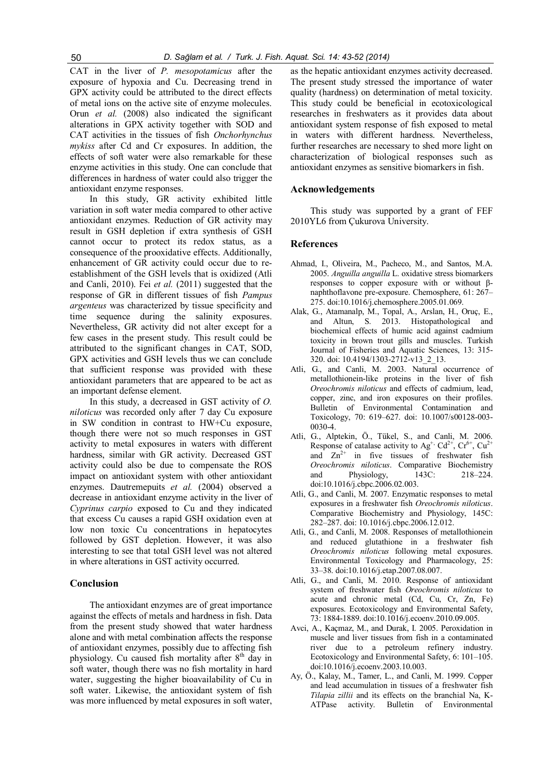CAT in the liver of P. mesopotamicus after the exposure of hypoxia and Cu. Decreasing trend in GPX activity could be attributed to the direct effects of metal ions on the active site of enzyme molecules. Orun et al. (2008) also indicated the significant alterations in GPX activity together with SOD and CAT activities in the tissues of fish Onchorhynchus mykiss after Cd and Cr exposures. In addition, the effects of soft water were also remarkable for these enzyme activities in this study. One can conclude that differences in hardness of water could also trigger the antioxidant enzyme responses.

In this study, GR activity exhibited little variation in soft water media compared to other active antioxidant enzymes. Reduction of GR activity may result in GSH depletion if extra synthesis of GSH cannot occur to protect its redox status, as a consequence of the prooxidative effects. Additionally, enhancement of GR activity could occur due to reestablishment of the GSH levels that is oxidized (Atli and Canli, 2010). Fei et al. (2011) suggested that the response of GR in different tissues of fish Pampus argenteus was characterized by tissue specificity and time sequence during the salinity exposures. Nevertheless, GR activity did not alter except for a few cases in the present study. This result could be attributed to the significant changes in CAT, SOD, GPX activities and GSH levels thus we can conclude that sufficient response was provided with these antioxidant parameters that are appeared to be act as an important defense element.

In this study, a decreased in GST activity of O. niloticus was recorded only after 7 day Cu exposure in SW condition in contrast to HW+Cu exposure, though there were not so much responses in GST activity to metal exposures in waters with different hardness, similar with GR activity. Decreased GST activity could also be due to compensate the ROS impact on antioxidant system with other antioxidant enzymes. Dautremepuits et al. (2004) observed a decrease in antioxidant enzyme activity in the liver of Cyprinus carpio exposed to Cu and they indicated that excess Cu causes a rapid GSH oxidation even at low non toxic Cu concentrations in hepatocytes followed by GST depletion. However, it was also interesting to see that total GSH level was not altered in where alterations in GST activity occurred.

## Conclusion

The antioxidant enzymes are of great importance against the effects of metals and hardness in fish. Data from the present study showed that water hardness alone and with metal combination affects the response of antioxidant enzymes, possibly due to affecting fish physiology. Cu caused fish mortality after 8<sup>th</sup> day in soft water, though there was no fish mortality in hard water, suggesting the higher bioavailability of Cu in soft water. Likewise, the antioxidant system of fish was more influenced by metal exposures in soft water,

as the hepatic antioxidant enzymes activity decreased. The present study stressed the importance of water quality (hardness) on determination of metal toxicity. This study could be beneficial in ecotoxicological researches in freshwaters as it provides data about antioxidant system response of fish exposed to metal in waters with different hardness. Nevertheless, further researches are necessary to shed more light on characterization of biological responses such as antioxidant enzymes as sensitive biomarkers in fish.

#### Acknowledgements

This study was supported by a grant of FEF 2010YL6 from Çukurova University.

#### References

- Ahmad, I., Oliveira, M., Pacheco, M., and Santos, M.A. 2005. Anguilla anguilla L. oxidative stress biomarkers responses to copper exposure with or without βnaphthoflavone pre-exposure. Chemosphere, 61: 267– 275. doi:10.1016/j.chemosphere.2005.01.069.
- Alak, G., Atamanalp, M., Topal, A., Arslan, H., Oruç, E., and Altun, S. 2013. Histopathological and biochemical effects of humic acid against cadmium toxicity in brown trout gills and muscles. Turkish Journal of Fisheries and Aquatic Sciences, 13: 315- 320. doi: 10.4194/1303-2712-v13\_2\_13.
- Atli, G., and Canli, M. 2003. Natural occurrence of metallothionein-like proteins in the liver of fish Oreochromis niloticus and effects of cadmium, lead, copper, zinc, and iron exposures on their profiles. Bulletin of Environmental Contamination and Toxicology, 70: 619–627. doi: 10.1007/s00128-003- 0030-4.
- Atli, G., Alptekin, Ö., Tükel, S., and Canli, M. 2006. Response of catalase activity to Ag<sup>+,</sup> Cd<sup>2+</sup>, Cr<sup>6+</sup>, Cu<sup>2+</sup> and  $Zn^{2+}$  in five tissues of freshwater fish Oreochromis niloticus. Comparative Biochemistry and Physiology, 143C: 218–224. doi:10.1016/j.cbpc.2006.02.003.
- Atli, G., and Canli, M. 2007. Enzymatic responses to metal exposures in a freshwater fish Oreochromis niloticus. Comparative Biochemistry and Physiology, 145C: 282–287. doi: 10.1016/j.cbpc.2006.12.012.
- Atli, G., and Canli, M. 2008. Responses of metallothionein and reduced glutathione in a freshwater fish Oreochromis niloticus following metal exposures. Environmental Toxicology and Pharmacology, 25: 33–38. doi:10.1016/j.etap.2007.08.007.
- Atli, G., and Canli, M. 2010. Response of antioxidant system of freshwater fish Oreochromis niloticus to acute and chronic metal (Cd, Cu, Cr, Zn, Fe) exposures. Ecotoxicology and Environmental Safety, 73: 1884-1889. doi:10.1016/j.ecoenv.2010.09.005.
- Avci, A., Kaçmaz, M., and Durak, I. 2005. Peroxidation in muscle and liver tissues from fish in a contaminated river due to a petroleum refinery industry. Ecotoxicology and Environmental Safety, 6: 101–105. doi:10.1016/j.ecoenv.2003.10.003.
- Ay, Ö., Kalay, M., Tamer, L., and Canli, M. 1999. Copper and lead accumulation in tissues of a freshwater fish Tilapia zillii and its effects on the branchial Na, K-ATPase activity. Bulletin of Environmental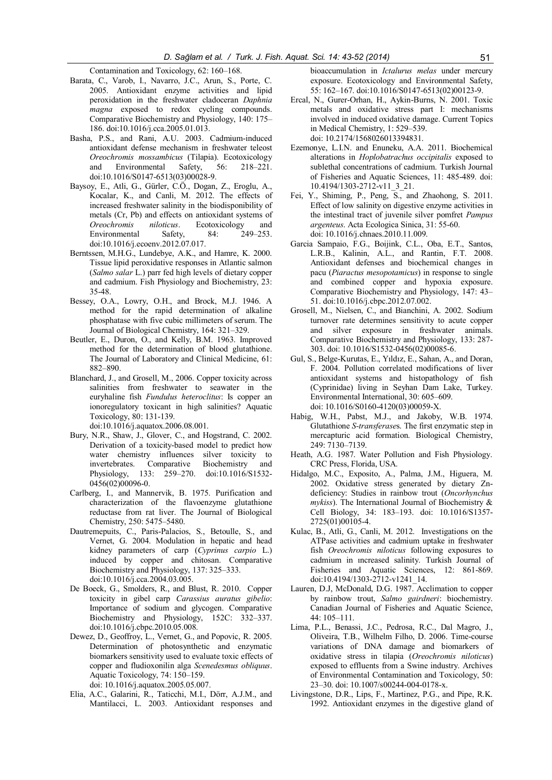Contamination and Toxicology, 62: 160–168.

- Barata, C., Varob, I., Navarro, J.C., Arun, S., Porte, C. 2005. Antioxidant enzyme activities and lipid peroxidation in the freshwater cladoceran Daphnia magna exposed to redox cycling compounds. Comparative Biochemistry and Physiology, 140: 175– 186. doi:10.1016/j.cca.2005.01.013.
- Basha, P.S., and Rani, A.U. 2003. Cadmium-induced antioxidant defense mechanism in freshwater teleost Oreochromis mossambicus (Tilapia). Ecotoxicology and Environmental Safety, 56: 218–221. doi:10.1016/S0147-6513(03)00028-9.
- Baysoy, E., Atli, G., Gürler, C.Ö., Dogan, Z., Eroglu, A., Kocalar, K., and Canli, M. 2012. The effects of increased freshwater salinity in the biodisponibility of metals (Cr, Pb) and effects on antioxidant systems of *Oreochromis niloticus*. Ecotoxicology and miloticus. Ecotoxicology and<br>Safety, 84: 249–253. Environmental Safety, 84: doi:10.1016/j.ecoenv.2012.07.017.
- Berntssen, M.H.G., Lundebye, A.K., and Hamre, K. 2000. Tissue lipid peroxidative responses in Atlantic salmon (Salmo salar L.) parr fed high levels of dietary copper and cadmium. Fish Physiology and Biochemistry, 23: 35-48.
- Bessey, O.A., Lowry, O.H., and Brock, M.J. 1946. A method for the rapid determination of alkaline phosphatase with five cubic millimeters of serum. The Journal of Biological Chemistry, 164: 321–329.
- Beutler, E., Duron, O., and Kelly, B.M. 1963. Improved method for the determination of blood glutathione. The Journal of Laboratory and Clinical Medicine, 61: 882–890.
- Blanchard, J., and Grosell, M., 2006. Copper toxicity across salinities from freshwater to seawater in the euryhaline fish Fundulus heteroclitus: Is copper an ionoregulatory toxicant in high salinities? Aquatic Toxicology, 80: 131-139. doi:10.1016/j.aquatox.2006.08.001.
- Bury, N.R., Shaw, J., Glover, C., and Hogstrand, C. 2002. Derivation of a toxicity-based model to predict how water chemistry influences silver toxicity to invertebrates. Comparative Biochemistry and Physiology, 133: 259–270. doi:10.1016/S1532- 0456(02)00096-0.
- Carlberg, I., and Mannervik, B. 1975. Purification and characterization of the flavoenzyme glutathione reductase from rat liver. The Journal of Biological Chemistry, 250: 5475–5480.
- Dautremepuits, C., Paris-Palacios, S., Betoulle, S., and Vernet, G. 2004. Modulation in hepatic and head kidney parameters of carp (Cyprinus carpio L.) induced by copper and chitosan. Comparative Biochemistry and Physiology, 137: 325–333. doi:10.1016/j.cca.2004.03.005.
- De Boeck, G., Smolders, R., and Blust, R. 2010. Copper toxicity in gibel carp Carassius auratus gibelio: Importance of sodium and glycogen. Comparative Biochemistry and Physiology, 152C: 332–337. doi:10.1016/j.cbpc.2010.05.008.
- Dewez, D., Geoffroy, L., Vernet, G., and Popovic, R. 2005. Determination of photosynthetic and enzymatic biomarkers sensitivity used to evaluate toxic effects of copper and fludioxonilin alga Scenedesmus obliquus. Aquatic Toxicology, 74: 150–159. doi: 10.1016/j.aquatox.2005.05.007.
- Elia, A.C., Galarini, R., Taticchi, M.I., Dörr, A.J.M., and Mantilacci, L. 2003. Antioxidant responses and

bioaccumulation in Ictalurus melas under mercury exposure. Ecotoxicology and Environmental Safety, 55: 162–167. doi:10.1016/S0147-6513(02)00123-9.

- Ercal, N., Gurer-Orhan, H., Aykin-Burns, N. 2001. Toxic metals and oxidative stress part I: mechanisms involved in induced oxidative damage. Current Topics in Medical Chemistry, 1: 529–539. doi: 10.2174/1568026013394831.
- Ezemonye, L.I.N. and Enuneku, A.A. 2011. Biochemical alterations in Hoplobatrachus occipitalis exposed to sublethal concentrations of cadmium. Turkish Journal of Fisheries and Aquatic Sciences, 11: 485-489. doi: 10.4194/1303-2712-v11\_3\_21.
- Fei, Y., Shiming, P., Peng, S., and Zhaohong, S. 2011. Effect of low salinity on digestive enzyme activities in the intestinal tract of juvenile silver pomfret Pampus argenteus. Acta Ecologica Sinica, 31: 55-60. doi: 10.1016/j.chnaes.2010.11.009.
- Garcia Sampaio, F.G., Boijink, C.L., Oba, E.T., Santos, L.R.B., Kalinin, A.L., and Rantin, F.T. 2008. Antioxidant defenses and biochemical changes in pacu (Piaractus mesopotamicus) in response to single and combined copper and hypoxia exposure. Comparative Biochemistry and Physiology, 147: 43– 51. doi:10.1016/j.cbpc.2012.07.002.
- Grosell, M., Nielsen, C., and Bianchini, A. 2002. Sodium turnover rate determines sensitivity to acute copper and silver exposure in freshwater animals. Comparative Biochemistry and Physiology, 133: 287- 303. doi: 10.1016/S1532-0456(02)00085-6.
- Gul, S., Belge-Kurutas, E., Yıldız, E., Sahan, A., and Doran, F. 2004. Pollution correlated modifications of liver antioxidant systems and histopathology of fish (Cyprinidae) living in Seyhan Dam Lake, Turkey. Environmental International, 30: 605–609. doi: 10.1016/S0160-4120(03)00059-X.
- Habig, W.H., Pabst, M.J., and Jakoby, W.B. 1974. Glutathione S-transferases. The first enzymatic step in mercapturic acid formation. Biological Chemistry, 249: 7130–7139.
- Heath, A.G. 1987. Water Pollution and Fish Physiology. CRC Press, Florida, USA.
- Hidalgo, M.C., Exposito, A., Palma, J.M., Higuera, M. 2002. Oxidative stress generated by dietary Zndeficiency: Studies in rainbow trout (Oncorhynchus mykiss). The International Journal of Biochemistry & Cell Biology, 34: 183–193. doi: 10.1016/S1357- 2725(01)00105-4.
- Kulac, B., Atli, G., Canli, M. 2012. Investigations on the ATPase activities and cadmium uptake in freshwater fish Oreochromis niloticus following exposures to cadmium in ıncreased salinity. Turkish Journal of Fisheries and Aquatic Sciences, 12: 861-869. doi:10.4194/1303-2712-v1241\_14.
- Lauren, D.J, McDonald, D.G. 1987. Acclimation to copper by rainbow trout, Salmo gairdneri: biochemistry. Canadian Journal of Fisheries and Aquatic Science, 44: 105–111.
- Lima, P.L., Benassi, J.C., Pedrosa, R.C., Dal Magro, J., Oliveira, T.B., Wilhelm Filho, D. 2006. Time-course variations of DNA damage and biomarkers of oxidative stress in tilapia (Oreochromis niloticus) exposed to effluents from a Swine industry. Archives of Environmental Contamination and Toxicology, 50: 23–30. doi: 10.1007/s00244-004-0178-x.
- Livingstone, D.R., Lips, F., Martinez, P.G., and Pipe, R.K. 1992. Antioxidant enzymes in the digestive gland of